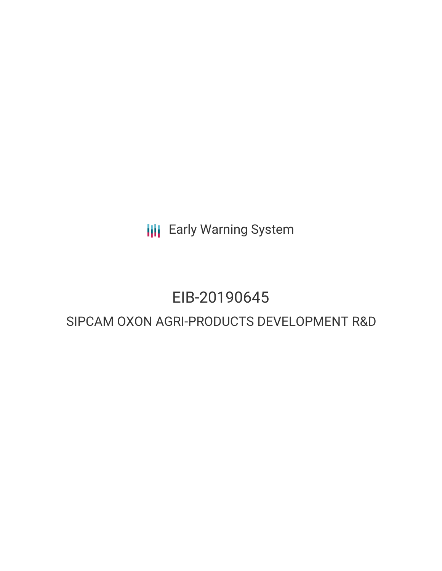**III** Early Warning System

# EIB-20190645

# SIPCAM OXON AGRI-PRODUCTS DEVELOPMENT R&D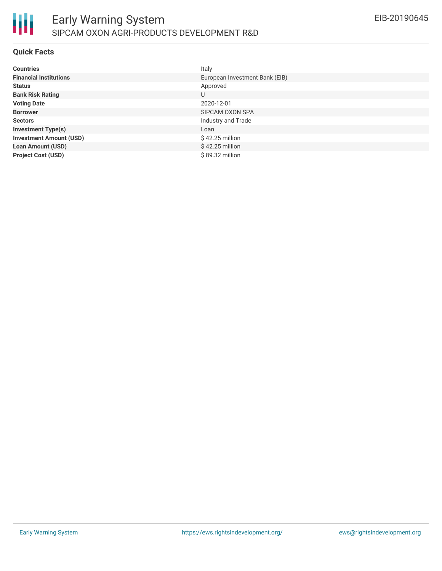

## **Quick Facts**

| <b>Countries</b>               | Italy                          |
|--------------------------------|--------------------------------|
| <b>Financial Institutions</b>  | European Investment Bank (EIB) |
| <b>Status</b>                  | Approved                       |
| <b>Bank Risk Rating</b>        | U                              |
| <b>Voting Date</b>             | 2020-12-01                     |
| <b>Borrower</b>                | SIPCAM OXON SPA                |
| <b>Sectors</b>                 | Industry and Trade             |
| <b>Investment Type(s)</b>      | Loan                           |
| <b>Investment Amount (USD)</b> | $$42.25$ million               |
| <b>Loan Amount (USD)</b>       | $$42.25$ million               |
| <b>Project Cost (USD)</b>      | \$89.32 million                |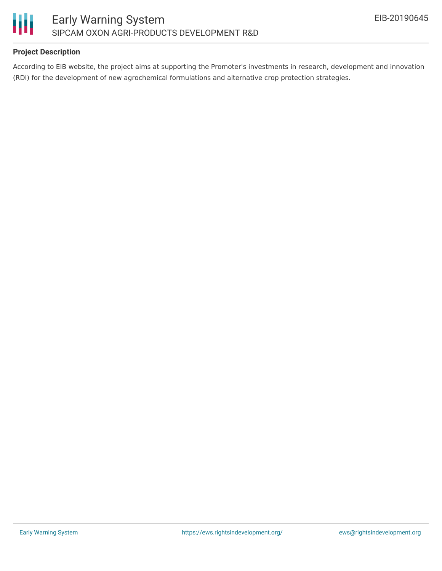

# **Project Description**

According to EIB website, the project aims at supporting the Promoter's investments in research, development and innovation (RDI) for the development of new agrochemical formulations and alternative crop protection strategies.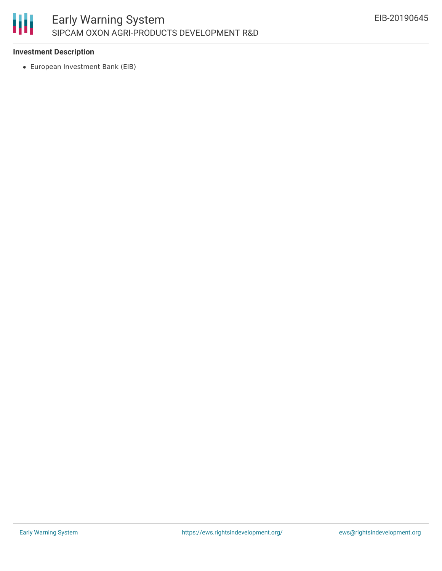

# **Investment Description**

European Investment Bank (EIB)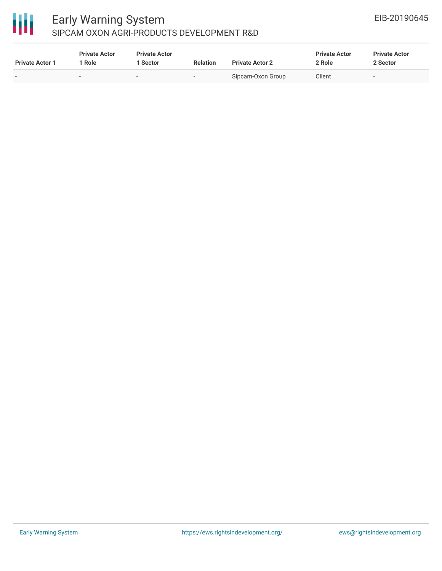# 冊

# Early Warning System SIPCAM OXON AGRI-PRODUCTS DEVELOPMENT R&D

| <b>Private Actor 1</b>   | <b>Private Actor</b><br>l Role | <b>Private Actor</b><br><b>Sector</b> | <b>Relation</b> | <b>Private Actor 2</b> | <b>Private Actor</b><br>2 Role | <b>Private Actor</b><br>2 Sector |
|--------------------------|--------------------------------|---------------------------------------|-----------------|------------------------|--------------------------------|----------------------------------|
| $\overline{\phantom{a}}$ |                                | . .                                   | $\sim$          | Sipcam-Oxon Group      | Client                         |                                  |